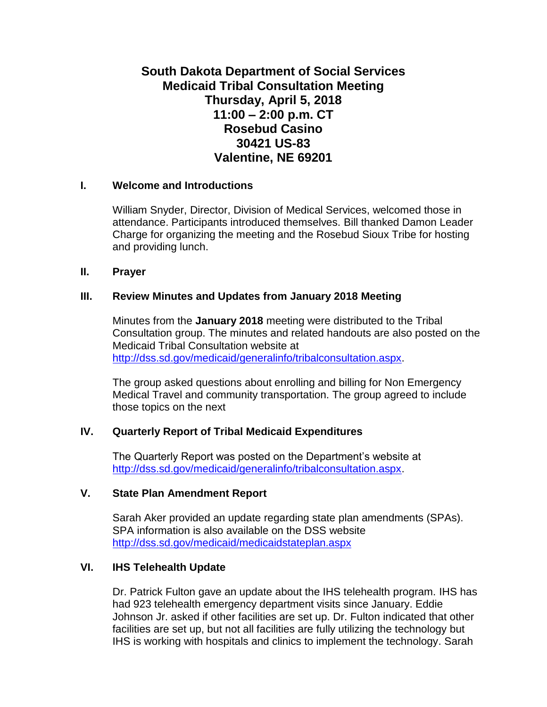# **South Dakota Department of Social Services Medicaid Tribal Consultation Meeting Thursday, April 5, 2018 11:00 – 2:00 p.m. CT Rosebud Casino 30421 US-83 Valentine, NE 69201**

#### **I. Welcome and Introductions**

William Snyder, Director, Division of Medical Services, welcomed those in attendance. Participants introduced themselves. Bill thanked Damon Leader Charge for organizing the meeting and the Rosebud Sioux Tribe for hosting and providing lunch.

#### **II. Prayer**

#### **III. Review Minutes and Updates from January 2018 Meeting**

Minutes from the **January 2018** meeting were distributed to the Tribal Consultation group. The minutes and related handouts are also posted on the Medicaid Tribal Consultation website at [http://dss.sd.gov/medicaid/generalinfo/tribalconsultation.aspx.](http://dss.sd.gov/medicaid/generalinfo/tribalconsultation.aspx)

The group asked questions about enrolling and billing for Non Emergency Medical Travel and community transportation. The group agreed to include those topics on the next

# **IV. Quarterly Report of Tribal Medicaid Expenditures**

The Quarterly Report was posted on the Department's website at [http://dss.sd.gov/medicaid/generalinfo/tribalconsultation.aspx.](http://dss.sd.gov/medicaid/generalinfo/tribalconsultation.aspx)

# **V. State Plan Amendment Report**

Sarah Aker provided an update regarding state plan amendments (SPAs). SPA information is also available on the DSS website <http://dss.sd.gov/medicaid/medicaidstateplan.aspx>

# **VI. IHS Telehealth Update**

Dr. Patrick Fulton gave an update about the IHS telehealth program. IHS has had 923 telehealth emergency department visits since January. Eddie Johnson Jr. asked if other facilities are set up. Dr. Fulton indicated that other facilities are set up, but not all facilities are fully utilizing the technology but IHS is working with hospitals and clinics to implement the technology. Sarah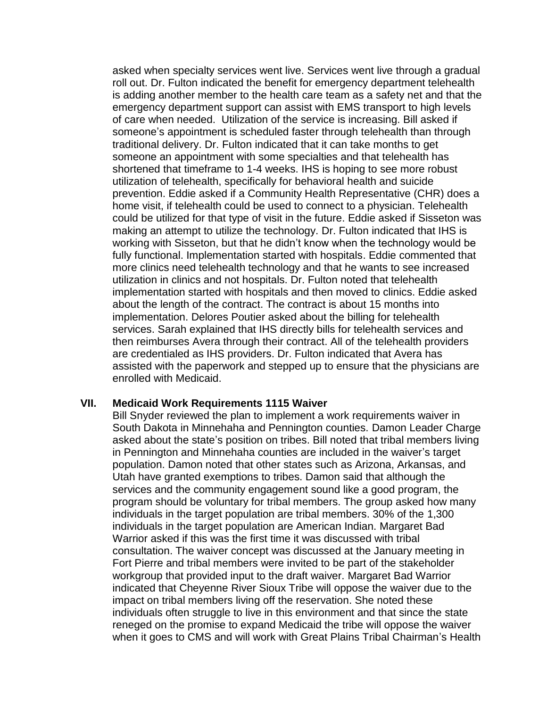asked when specialty services went live. Services went live through a gradual roll out. Dr. Fulton indicated the benefit for emergency department telehealth is adding another member to the health care team as a safety net and that the emergency department support can assist with EMS transport to high levels of care when needed. Utilization of the service is increasing. Bill asked if someone's appointment is scheduled faster through telehealth than through traditional delivery. Dr. Fulton indicated that it can take months to get someone an appointment with some specialties and that telehealth has shortened that timeframe to 1-4 weeks. IHS is hoping to see more robust utilization of telehealth, specifically for behavioral health and suicide prevention. Eddie asked if a Community Health Representative (CHR) does a home visit, if telehealth could be used to connect to a physician. Telehealth could be utilized for that type of visit in the future. Eddie asked if Sisseton was making an attempt to utilize the technology. Dr. Fulton indicated that IHS is working with Sisseton, but that he didn't know when the technology would be fully functional. Implementation started with hospitals. Eddie commented that more clinics need telehealth technology and that he wants to see increased utilization in clinics and not hospitals. Dr. Fulton noted that telehealth implementation started with hospitals and then moved to clinics. Eddie asked about the length of the contract. The contract is about 15 months into implementation. Delores Poutier asked about the billing for telehealth services. Sarah explained that IHS directly bills for telehealth services and then reimburses Avera through their contract. All of the telehealth providers are credentialed as IHS providers. Dr. Fulton indicated that Avera has assisted with the paperwork and stepped up to ensure that the physicians are enrolled with Medicaid.

#### **VII. Medicaid Work Requirements 1115 Waiver**

Bill Snyder reviewed the plan to implement a work requirements waiver in South Dakota in Minnehaha and Pennington counties. Damon Leader Charge asked about the state's position on tribes. Bill noted that tribal members living in Pennington and Minnehaha counties are included in the waiver's target population. Damon noted that other states such as Arizona, Arkansas, and Utah have granted exemptions to tribes. Damon said that although the services and the community engagement sound like a good program, the program should be voluntary for tribal members. The group asked how many individuals in the target population are tribal members. 30% of the 1,300 individuals in the target population are American Indian. Margaret Bad Warrior asked if this was the first time it was discussed with tribal consultation. The waiver concept was discussed at the January meeting in Fort Pierre and tribal members were invited to be part of the stakeholder workgroup that provided input to the draft waiver. Margaret Bad Warrior indicated that Cheyenne River Sioux Tribe will oppose the waiver due to the impact on tribal members living off the reservation. She noted these individuals often struggle to live in this environment and that since the state reneged on the promise to expand Medicaid the tribe will oppose the waiver when it goes to CMS and will work with Great Plains Tribal Chairman's Health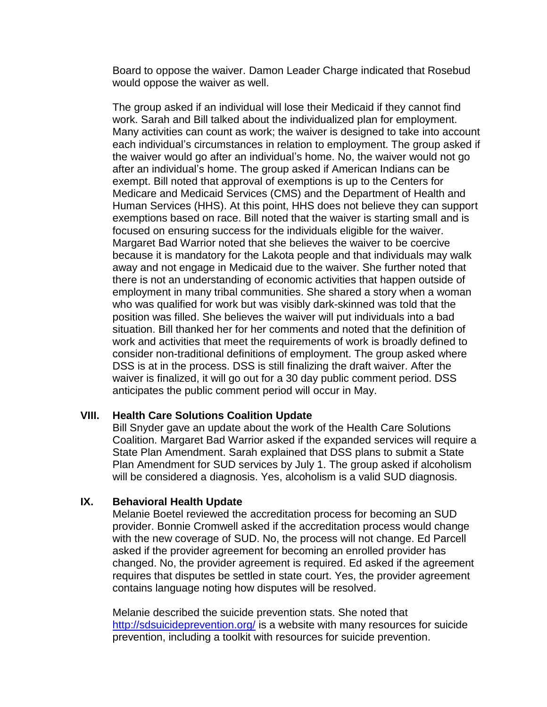Board to oppose the waiver. Damon Leader Charge indicated that Rosebud would oppose the waiver as well.

The group asked if an individual will lose their Medicaid if they cannot find work. Sarah and Bill talked about the individualized plan for employment. Many activities can count as work; the waiver is designed to take into account each individual's circumstances in relation to employment. The group asked if the waiver would go after an individual's home. No, the waiver would not go after an individual's home. The group asked if American Indians can be exempt. Bill noted that approval of exemptions is up to the Centers for Medicare and Medicaid Services (CMS) and the Department of Health and Human Services (HHS). At this point, HHS does not believe they can support exemptions based on race. Bill noted that the waiver is starting small and is focused on ensuring success for the individuals eligible for the waiver. Margaret Bad Warrior noted that she believes the waiver to be coercive because it is mandatory for the Lakota people and that individuals may walk away and not engage in Medicaid due to the waiver. She further noted that there is not an understanding of economic activities that happen outside of employment in many tribal communities. She shared a story when a woman who was qualified for work but was visibly dark-skinned was told that the position was filled. She believes the waiver will put individuals into a bad situation. Bill thanked her for her comments and noted that the definition of work and activities that meet the requirements of work is broadly defined to consider non-traditional definitions of employment. The group asked where DSS is at in the process. DSS is still finalizing the draft waiver. After the waiver is finalized, it will go out for a 30 day public comment period. DSS anticipates the public comment period will occur in May.

# **VIII. Health Care Solutions Coalition Update**

Bill Snyder gave an update about the work of the Health Care Solutions Coalition. Margaret Bad Warrior asked if the expanded services will require a State Plan Amendment. Sarah explained that DSS plans to submit a State Plan Amendment for SUD services by July 1. The group asked if alcoholism will be considered a diagnosis. Yes, alcoholism is a valid SUD diagnosis.

# **IX. Behavioral Health Update**

Melanie Boetel reviewed the accreditation process for becoming an SUD provider. Bonnie Cromwell asked if the accreditation process would change with the new coverage of SUD. No, the process will not change. Ed Parcell asked if the provider agreement for becoming an enrolled provider has changed. No, the provider agreement is required. Ed asked if the agreement requires that disputes be settled in state court. Yes, the provider agreement contains language noting how disputes will be resolved.

Melanie described the suicide prevention stats. She noted that <http://sdsuicideprevention.org/> is a website with many resources for suicide prevention, including a toolkit with resources for suicide prevention.